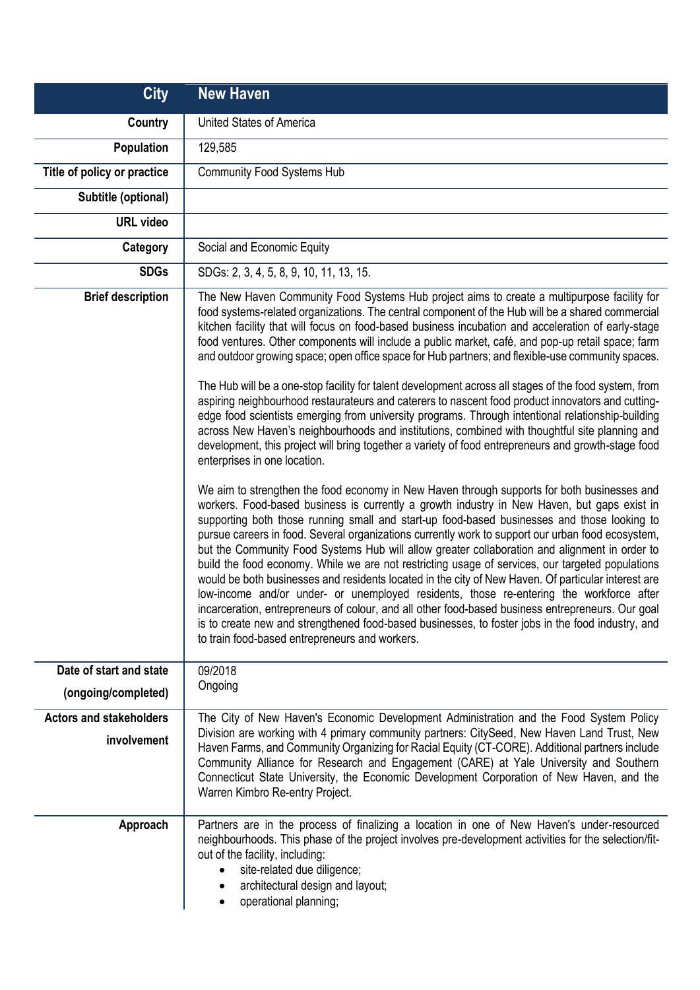| <b>City</b>                                   | <b>New Haven</b>                                                                                                                                                                                                                                                                                                                                                                                                                                                                                                                                                                                                                                                                                                                                                                                                                                                                                                                                                                                                                                                                                                                                                                                                                                                                                                                                                                                                                                                                                                                                                                                                                                                                                                                                                                                                                                                                                                                                                                                                                                                                                                                                 |
|-----------------------------------------------|--------------------------------------------------------------------------------------------------------------------------------------------------------------------------------------------------------------------------------------------------------------------------------------------------------------------------------------------------------------------------------------------------------------------------------------------------------------------------------------------------------------------------------------------------------------------------------------------------------------------------------------------------------------------------------------------------------------------------------------------------------------------------------------------------------------------------------------------------------------------------------------------------------------------------------------------------------------------------------------------------------------------------------------------------------------------------------------------------------------------------------------------------------------------------------------------------------------------------------------------------------------------------------------------------------------------------------------------------------------------------------------------------------------------------------------------------------------------------------------------------------------------------------------------------------------------------------------------------------------------------------------------------------------------------------------------------------------------------------------------------------------------------------------------------------------------------------------------------------------------------------------------------------------------------------------------------------------------------------------------------------------------------------------------------------------------------------------------------------------------------------------------------|
| Country                                       | United States of America                                                                                                                                                                                                                                                                                                                                                                                                                                                                                                                                                                                                                                                                                                                                                                                                                                                                                                                                                                                                                                                                                                                                                                                                                                                                                                                                                                                                                                                                                                                                                                                                                                                                                                                                                                                                                                                                                                                                                                                                                                                                                                                         |
| Population                                    | 129,585                                                                                                                                                                                                                                                                                                                                                                                                                                                                                                                                                                                                                                                                                                                                                                                                                                                                                                                                                                                                                                                                                                                                                                                                                                                                                                                                                                                                                                                                                                                                                                                                                                                                                                                                                                                                                                                                                                                                                                                                                                                                                                                                          |
| Title of policy or practice                   | <b>Community Food Systems Hub</b>                                                                                                                                                                                                                                                                                                                                                                                                                                                                                                                                                                                                                                                                                                                                                                                                                                                                                                                                                                                                                                                                                                                                                                                                                                                                                                                                                                                                                                                                                                                                                                                                                                                                                                                                                                                                                                                                                                                                                                                                                                                                                                                |
| Subtitle (optional)                           |                                                                                                                                                                                                                                                                                                                                                                                                                                                                                                                                                                                                                                                                                                                                                                                                                                                                                                                                                                                                                                                                                                                                                                                                                                                                                                                                                                                                                                                                                                                                                                                                                                                                                                                                                                                                                                                                                                                                                                                                                                                                                                                                                  |
| <b>URL</b> video                              |                                                                                                                                                                                                                                                                                                                                                                                                                                                                                                                                                                                                                                                                                                                                                                                                                                                                                                                                                                                                                                                                                                                                                                                                                                                                                                                                                                                                                                                                                                                                                                                                                                                                                                                                                                                                                                                                                                                                                                                                                                                                                                                                                  |
| Category                                      | Social and Economic Equity                                                                                                                                                                                                                                                                                                                                                                                                                                                                                                                                                                                                                                                                                                                                                                                                                                                                                                                                                                                                                                                                                                                                                                                                                                                                                                                                                                                                                                                                                                                                                                                                                                                                                                                                                                                                                                                                                                                                                                                                                                                                                                                       |
| <b>SDGs</b>                                   | SDGs: 2, 3, 4, 5, 8, 9, 10, 11, 13, 15.                                                                                                                                                                                                                                                                                                                                                                                                                                                                                                                                                                                                                                                                                                                                                                                                                                                                                                                                                                                                                                                                                                                                                                                                                                                                                                                                                                                                                                                                                                                                                                                                                                                                                                                                                                                                                                                                                                                                                                                                                                                                                                          |
| <b>Brief description</b>                      | The New Haven Community Food Systems Hub project aims to create a multipurpose facility for<br>food systems-related organizations. The central component of the Hub will be a shared commercial<br>kitchen facility that will focus on food-based business incubation and acceleration of early-stage<br>food ventures. Other components will include a public market, café, and pop-up retail space; farm<br>and outdoor growing space; open office space for Hub partners; and flexible-use community spaces.<br>The Hub will be a one-stop facility for talent development across all stages of the food system, from<br>aspiring neighbourhood restaurateurs and caterers to nascent food product innovators and cutting-<br>edge food scientists emerging from university programs. Through intentional relationship-building<br>across New Haven's neighbourhoods and institutions, combined with thoughtful site planning and<br>development, this project will bring together a variety of food entrepreneurs and growth-stage food<br>enterprises in one location.<br>We aim to strengthen the food economy in New Haven through supports for both businesses and<br>workers. Food-based business is currently a growth industry in New Haven, but gaps exist in<br>supporting both those running small and start-up food-based businesses and those looking to<br>pursue careers in food. Several organizations currently work to support our urban food ecosystem,<br>but the Community Food Systems Hub will allow greater collaboration and alignment in order to<br>build the food economy. While we are not restricting usage of services, our targeted populations<br>would be both businesses and residents located in the city of New Haven. Of particular interest are<br>low-income and/or under- or unemployed residents, those re-entering the workforce after<br>incarceration, entrepreneurs of colour, and all other food-based business entrepreneurs. Our goal<br>is to create new and strengthened food-based businesses, to foster jobs in the food industry, and<br>to train food-based entrepreneurs and workers. |
| Date of start and state                       | 09/2018                                                                                                                                                                                                                                                                                                                                                                                                                                                                                                                                                                                                                                                                                                                                                                                                                                                                                                                                                                                                                                                                                                                                                                                                                                                                                                                                                                                                                                                                                                                                                                                                                                                                                                                                                                                                                                                                                                                                                                                                                                                                                                                                          |
| (ongoing/completed)                           | Ongoing                                                                                                                                                                                                                                                                                                                                                                                                                                                                                                                                                                                                                                                                                                                                                                                                                                                                                                                                                                                                                                                                                                                                                                                                                                                                                                                                                                                                                                                                                                                                                                                                                                                                                                                                                                                                                                                                                                                                                                                                                                                                                                                                          |
| <b>Actors and stakeholders</b><br>involvement | The City of New Haven's Economic Development Administration and the Food System Policy<br>Division are working with 4 primary community partners: CitySeed, New Haven Land Trust, New<br>Haven Farms, and Community Organizing for Racial Equity (CT-CORE). Additional partners include<br>Community Alliance for Research and Engagement (CARE) at Yale University and Southern<br>Connecticut State University, the Economic Development Corporation of New Haven, and the<br>Warren Kimbro Re-entry Project.                                                                                                                                                                                                                                                                                                                                                                                                                                                                                                                                                                                                                                                                                                                                                                                                                                                                                                                                                                                                                                                                                                                                                                                                                                                                                                                                                                                                                                                                                                                                                                                                                                  |
| Approach                                      | Partners are in the process of finalizing a location in one of New Haven's under-resourced<br>neighbourhoods. This phase of the project involves pre-development activities for the selection/fit-<br>out of the facility, including:<br>site-related due diligence;<br>architectural design and layout;<br>$\bullet$<br>operational planning;<br>$\bullet$                                                                                                                                                                                                                                                                                                                                                                                                                                                                                                                                                                                                                                                                                                                                                                                                                                                                                                                                                                                                                                                                                                                                                                                                                                                                                                                                                                                                                                                                                                                                                                                                                                                                                                                                                                                      |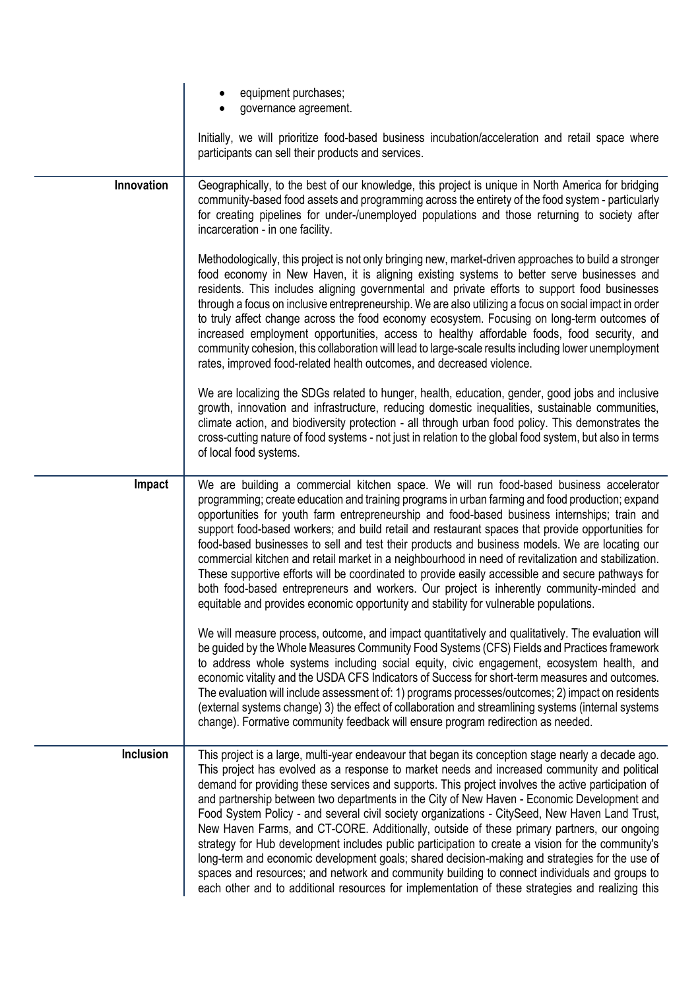|               | equipment purchases;<br>governance agreement.                                                                                                                                                                                                                                                                                                                                                                                                                                                                                                                                                                                                                                                                                                                                                                                                                                                                                                                                                                        |
|---------------|----------------------------------------------------------------------------------------------------------------------------------------------------------------------------------------------------------------------------------------------------------------------------------------------------------------------------------------------------------------------------------------------------------------------------------------------------------------------------------------------------------------------------------------------------------------------------------------------------------------------------------------------------------------------------------------------------------------------------------------------------------------------------------------------------------------------------------------------------------------------------------------------------------------------------------------------------------------------------------------------------------------------|
|               | Initially, we will prioritize food-based business incubation/acceleration and retail space where<br>participants can sell their products and services.                                                                                                                                                                                                                                                                                                                                                                                                                                                                                                                                                                                                                                                                                                                                                                                                                                                               |
| Innovation    | Geographically, to the best of our knowledge, this project is unique in North America for bridging<br>community-based food assets and programming across the entirety of the food system - particularly<br>for creating pipelines for under-/unemployed populations and those returning to society after<br>incarceration - in one facility.                                                                                                                                                                                                                                                                                                                                                                                                                                                                                                                                                                                                                                                                         |
|               | Methodologically, this project is not only bringing new, market-driven approaches to build a stronger<br>food economy in New Haven, it is aligning existing systems to better serve businesses and<br>residents. This includes aligning governmental and private efforts to support food businesses<br>through a focus on inclusive entrepreneurship. We are also utilizing a focus on social impact in order<br>to truly affect change across the food economy ecosystem. Focusing on long-term outcomes of<br>increased employment opportunities, access to healthy affordable foods, food security, and<br>community cohesion, this collaboration will lead to large-scale results including lower unemployment<br>rates, improved food-related health outcomes, and decreased violence.                                                                                                                                                                                                                          |
|               | We are localizing the SDGs related to hunger, health, education, gender, good jobs and inclusive<br>growth, innovation and infrastructure, reducing domestic inequalities, sustainable communities,<br>climate action, and biodiversity protection - all through urban food policy. This demonstrates the<br>cross-cutting nature of food systems - not just in relation to the global food system, but also in terms<br>of local food systems.                                                                                                                                                                                                                                                                                                                                                                                                                                                                                                                                                                      |
| <b>Impact</b> | We are building a commercial kitchen space. We will run food-based business accelerator<br>programming; create education and training programs in urban farming and food production; expand<br>opportunities for youth farm entrepreneurship and food-based business internships; train and<br>support food-based workers; and build retail and restaurant spaces that provide opportunities for<br>food-based businesses to sell and test their products and business models. We are locating our<br>commercial kitchen and retail market in a neighbourhood in need of revitalization and stabilization.<br>These supportive efforts will be coordinated to provide easily accessible and secure pathways for<br>both food-based entrepreneurs and workers. Our project is inherently community-minded and<br>equitable and provides economic opportunity and stability for vulnerable populations.                                                                                                                |
|               | We will measure process, outcome, and impact quantitatively and qualitatively. The evaluation will<br>be guided by the Whole Measures Community Food Systems (CFS) Fields and Practices framework<br>to address whole systems including social equity, civic engagement, ecosystem health, and<br>economic vitality and the USDA CFS Indicators of Success for short-term measures and outcomes.<br>The evaluation will include assessment of: 1) programs processes/outcomes; 2) impact on residents<br>(external systems change) 3) the effect of collaboration and streamlining systems (internal systems<br>change). Formative community feedback will ensure program redirection as needed.                                                                                                                                                                                                                                                                                                                     |
| Inclusion     | This project is a large, multi-year endeavour that began its conception stage nearly a decade ago.<br>This project has evolved as a response to market needs and increased community and political<br>demand for providing these services and supports. This project involves the active participation of<br>and partnership between two departments in the City of New Haven - Economic Development and<br>Food System Policy - and several civil society organizations - CitySeed, New Haven Land Trust,<br>New Haven Farms, and CT-CORE. Additionally, outside of these primary partners, our ongoing<br>strategy for Hub development includes public participation to create a vision for the community's<br>long-term and economic development goals; shared decision-making and strategies for the use of<br>spaces and resources; and network and community building to connect individuals and groups to<br>each other and to additional resources for implementation of these strategies and realizing this |